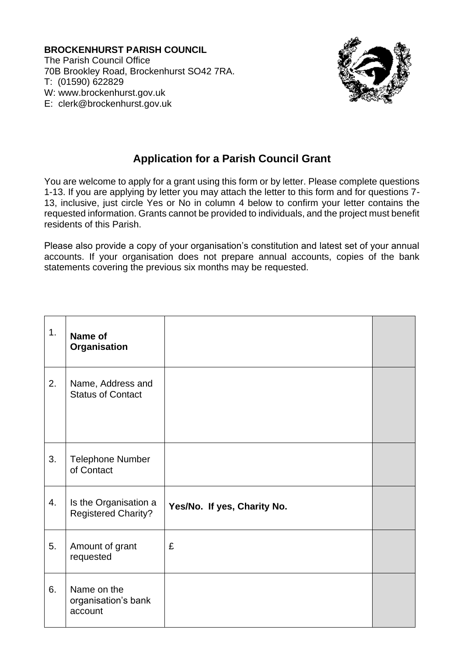**BROCKENHURST PARISH COUNCIL** The Parish Council Office 70B Brookley Road, Brockenhurst SO42 7RA. T: (01590) 622829 W: www.brockenhurst.gov.uk E: [clerk@brockenhurst.gov.uk](mailto:clerk@brockenhurst.gov.uk)



## **Application for a Parish Council Grant**

You are welcome to apply for a grant using this form or by letter. Please complete questions 1-13. If you are applying by letter you may attach the letter to this form and for questions 7- 13, inclusive, just circle Yes or No in column 4 below to confirm your letter contains the requested information. Grants cannot be provided to individuals, and the project must benefit residents of this Parish.

Please also provide a copy of your organisation's constitution and latest set of your annual accounts. If your organisation does not prepare annual accounts, copies of the bank statements covering the previous six months may be requested.

| 1. | Name of<br>Organisation                             |                             |  |
|----|-----------------------------------------------------|-----------------------------|--|
| 2. | Name, Address and<br><b>Status of Contact</b>       |                             |  |
| 3. | <b>Telephone Number</b><br>of Contact               |                             |  |
| 4. | Is the Organisation a<br><b>Registered Charity?</b> | Yes/No. If yes, Charity No. |  |
| 5. | Amount of grant<br>requested                        | £                           |  |
| 6. | Name on the<br>organisation's bank<br>account       |                             |  |